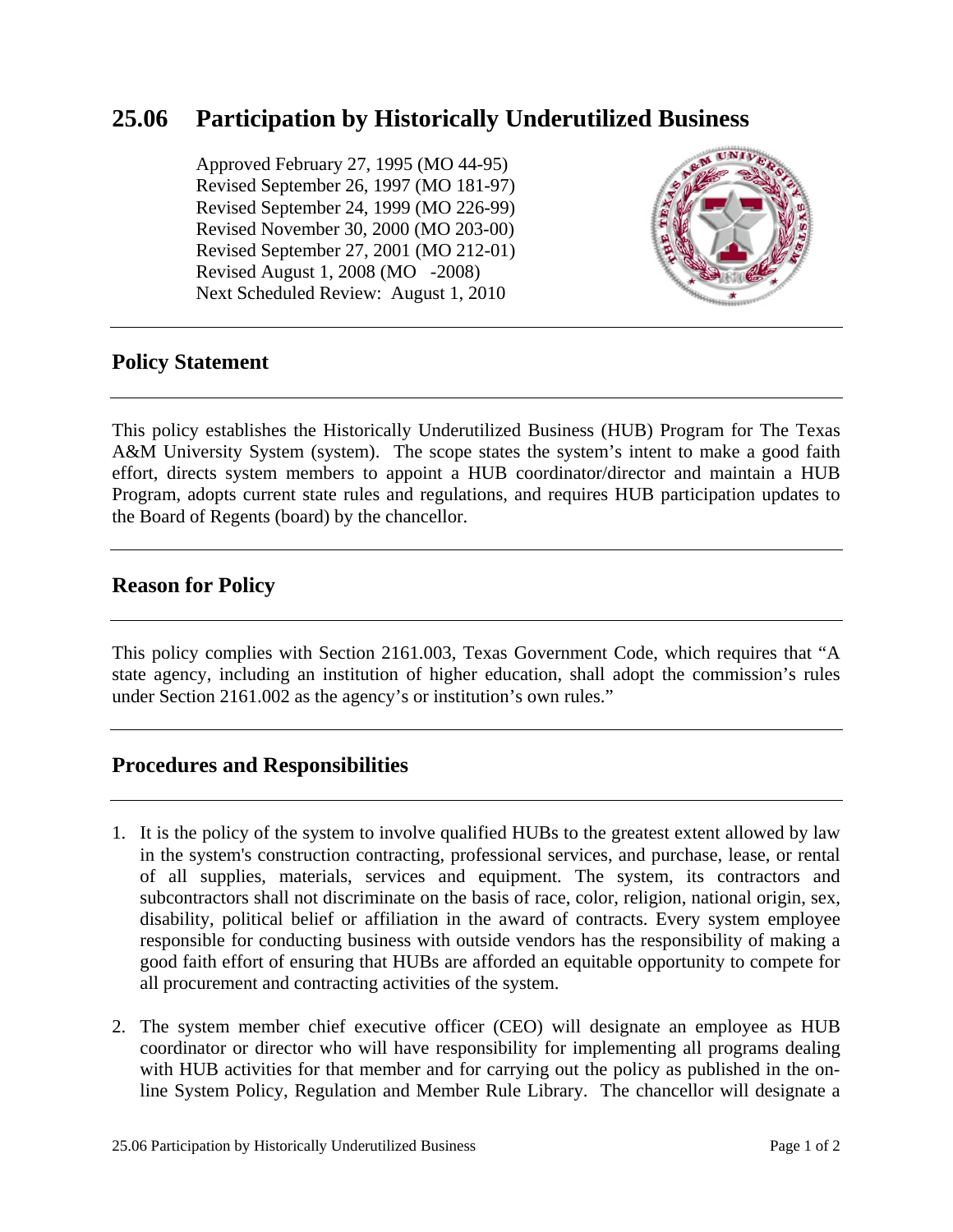# **25.06 Participation by Historically Underutilized Business**

Approved February 27, 1995 (MO 44-95) Revised September 26, 1997 (MO 181-97) Revised September 24, 1999 (MO 226-99) Revised November 30, 2000 (MO 203-00) Revised September 27, 2001 (MO 212-01) Revised August 1, 2008 (MO -2008) Next Scheduled Review: August 1, 2010



# **Policy Statement**

This policy establishes the Historically Underutilized Business (HUB) Program for The Texas A&M University System (system). The scope states the system's intent to make a good faith effort, directs system members to appoint a HUB coordinator/director and maintain a HUB Program, adopts current state rules and regulations, and requires HUB participation updates to the Board of Regents (board) by the chancellor.

# **Reason for Policy**

This policy complies with Section 2161.003, Texas Government Code, which requires that "A state agency, including an institution of higher education, shall adopt the commission's rules under Section 2161.002 as the agency's or institution's own rules."

### **Procedures and Responsibilities**

- 1. It is the policy of the system to involve qualified HUBs to the greatest extent allowed by law in the system's construction contracting, professional services, and purchase, lease, or rental of all supplies, materials, services and equipment. The system, its contractors and subcontractors shall not discriminate on the basis of race, color, religion, national origin, sex, disability, political belief or affiliation in the award of contracts. Every system employee responsible for conducting business with outside vendors has the responsibility of making a good faith effort of ensuring that HUBs are afforded an equitable opportunity to compete for all procurement and contracting activities of the system.
- 2. The system member chief executive officer (CEO) will designate an employee as HUB coordinator or director who will have responsibility for implementing all programs dealing with HUB activities for that member and for carrying out the policy as published in the online System Policy, Regulation and Member Rule Library. The chancellor will designate a